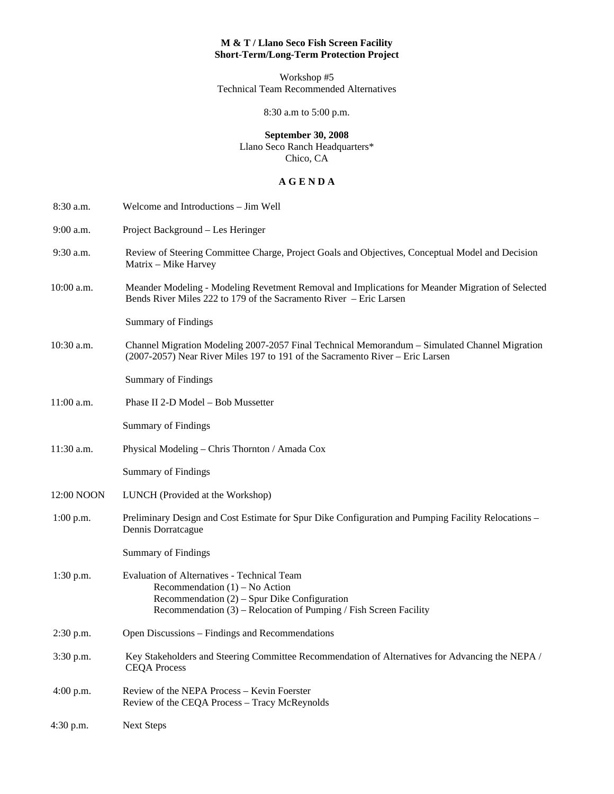## **M & T / Llano Seco Fish Screen Facility Short-Term/Long-Term Protection Project**

Workshop #5 Technical Team Recommended Alternatives

8:30 a.m to 5:00 p.m.

# **September 30, 2008**

Llano Seco Ranch Headquarters\* Chico, CA

#### **A G E N D A**

| 8:30 a.m.   | Welcome and Introductions - Jim Well                                                                                                                                                                     |
|-------------|----------------------------------------------------------------------------------------------------------------------------------------------------------------------------------------------------------|
| 9:00 a.m.   | Project Background - Les Heringer                                                                                                                                                                        |
| 9:30 a.m.   | Review of Steering Committee Charge, Project Goals and Objectives, Conceptual Model and Decision<br>Matrix - Mike Harvey                                                                                 |
| 10:00 a.m.  | Meander Modeling - Modeling Revetment Removal and Implications for Meander Migration of Selected<br>Bends River Miles 222 to 179 of the Sacramento River – Eric Larsen                                   |
|             | <b>Summary of Findings</b>                                                                                                                                                                               |
| 10:30 a.m.  | Channel Migration Modeling 2007-2057 Final Technical Memorandum - Simulated Channel Migration<br>(2007-2057) Near River Miles 197 to 191 of the Sacramento River – Eric Larsen                           |
|             | <b>Summary of Findings</b>                                                                                                                                                                               |
| 11:00 a.m.  | Phase II 2-D Model - Bob Mussetter                                                                                                                                                                       |
|             | <b>Summary of Findings</b>                                                                                                                                                                               |
| 11:30 a.m.  | Physical Modeling - Chris Thornton / Amada Cox                                                                                                                                                           |
|             | <b>Summary of Findings</b>                                                                                                                                                                               |
| 12:00 NOON  | LUNCH (Provided at the Workshop)                                                                                                                                                                         |
| $1:00$ p.m. | Preliminary Design and Cost Estimate for Spur Dike Configuration and Pumping Facility Relocations -<br>Dennis Dorratcague                                                                                |
|             | <b>Summary of Findings</b>                                                                                                                                                                               |
| 1:30 p.m.   | Evaluation of Alternatives - Technical Team<br>Recommendation $(1)$ – No Action<br>Recommendation $(2)$ – Spur Dike Configuration<br>Recommendation $(3)$ – Relocation of Pumping / Fish Screen Facility |
| 2:30 p.m.   | Open Discussions – Findings and Recommendations                                                                                                                                                          |
| 3:30 p.m.   | Key Stakeholders and Steering Committee Recommendation of Alternatives for Advancing the NEPA /<br><b>CEQA Process</b>                                                                                   |
| 4:00 p.m.   | Review of the NEPA Process - Kevin Foerster<br>Review of the CEQA Process - Tracy McReynolds                                                                                                             |
| 4:30 p.m.   | <b>Next Steps</b>                                                                                                                                                                                        |